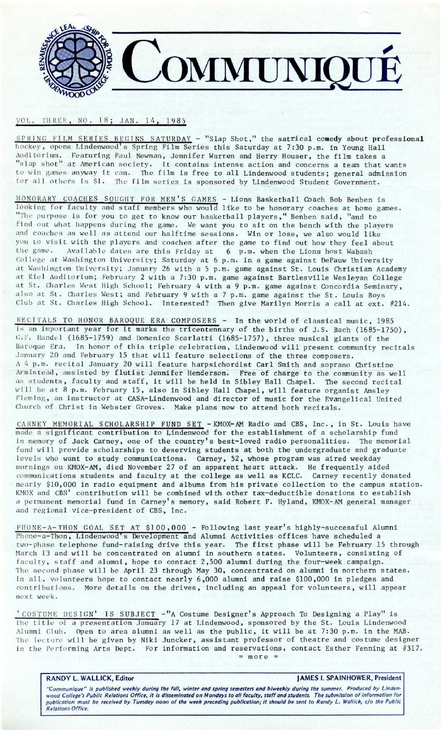

## VOL. THREE, NO. 18; JAN. 14, 1985

SPRING FILM SERIES BEGINS SATURDAY - "Slap Shot," the satrical comedy about professional hockey, opens Lindenwood's Spring Film Series this Saturday at 7:30 p.m. in Young Hall Auditorium. Featuring Paul Newman, Jennifer Warren and Herry Houser, the film takes a "slap shot" at American society. It contains intense action and concerns a team that wants to win games anyway it can. The film is free to all Lindenwood students; general admission for all others is \$1. The film series is sponsored by Lindenwood Student Government.

HONORARY COACHES SOUGHT FOR MEN'S GAMES - Lions Basketball Coach Bob Benben is looking for faculty and staff members who would like to be honorary coaches at home games. "The purpose is for you to get to know our basketball players," Benben said, "and to find out what happens during the game. We want you to sit on the bench with the players and coaches as well as attend our halftime sessions. Win or lose, we also would like you to visit with the players and coaches after the game to find out how they feel about the game. Available dates are this Friday at 6 p.m. when the Lions host Wabash College at Washington University; Saturday at 6 p.m. in a game against DePauw University at Washington University; January 26 with a 5 p.m. game against St. Louis Christian Academy at Kiel Auditorium; February 2 with a 7:30 p.m. game against Bartlesville Wesleyan College at St. Charles West High School; February 4 with a 9 p.m. game against Concordia Seminary, also at St. Charles West; and February 9 with a 7 p.m. game against the St. Louis Boys Club at St. Charles High School. Interested? Then give Marilyn Morris a call at ext. #214.

RECITALS TO HONOR BAROQUE ERA COMPOSERS - In the world of classical music, 1985 is an important year for it marks the tricentennary of the births of J.S. Bach (1685-1750),  $G.F.$  Handel (1685-1759) and Domenico Scarlatti (1685-1757), three musical giants of the Baroque Era. In honor of this triple celebration, Lindenwood will present community recitals January 20 and February 15 that will feature selections of the three composers. A 4 p.m. recital January 20 will feature harpsichordist Carl Smith and soprano Christine Armistead, assisted by flutist Jennifer Henderson. Free of charge to the community as well as students, faculty and staff, it will be held in Sibley Hall Chapel. The second recital will be at 8 p.m. February 15, also in Sibley Hall Chapel, will feature organist Ansley Fleming, an instructor at CASA-Lindenwood and director of music for the Evangelical United Church of Christ in Webster Groves. Make plans now to attend both recitals.

CAR NEY MEMORIAL SCHOLARSHIP FUND SET **-KMOX-AM** Radio and CBS, Inc., in St. Louis have made a significant contribution to Lindenwood for the establishment of a scholarship fund in memory of Jack Carney, one of the country's best-loved radio personalities. The memorial fund will provide scholarships to deserving students at both the undergraduate and graduate levels who want to study communications. Carney, 52, whose program was aired weekday mornings on KMOX-AM, died November 27 of an apparent heart attack. He frequently aided commun ications students and faculty at the college as well as KCLC. Carney recently donated nearly \$10,000 in radio equipment and albums from his private collection to the campus station. KMOX and CBS' contribution will be combined with other tax-deductible donations to establish a permanent memorial fund in Carney's memory, said Robert F. Hyland, KMOX-AM general manager and regional vice-president of CBS, Inc.

PHONE-A-THON GOAL SET AT \$100,000 - Following last year's highly-successful Alumni Phone-a-Thon, Lindenwood's Development and Alumni Activities offices have scheduled a two-phase telephone fund-raising drive this year. The first phase will be February 15 through March 13 and will be concentrated on alumni in southern states. Volunteers, consisting of faculty, staff and alumni, hope to contact 2,500 alumni during the four-week campaign. The second phase will be April 23 through May 30, concentrated on alumni in northern states. In all, volunteers hope to contact nearly 6,000 alumni and raise \$100,000 in pledges and contributions. More details on the drives, including an appeal for volunteers, will appear next week.

' COSTUME DESIGN' IS SUBJECT -"A Costume Designer's Approach To Designing a Play" is the title of a presentation January 17 at Lindenwood, sponsored by the St. Louis Lindenwood Alumni Club. Open to area alumni as well as the public, it will be at 7:30 p.m. in the MAB. The lecture will be given by Niki Juncker, assistant professor of theatre and costume designer in the Performing Arts Dept. For information and reservations, contact Esther Fenning at #317.  $= more =$ 

**RANDY L. WALLICK, Editor And Allen Control of the U.S. SPAINHOWER, President** 

"Communique" is published weekly during the foll, winter and spring semesters and biweekly during the summer. Produced by Lindenwood College's Public Relations Office, it is disseminated on Mondays to all faculty, staff and students. The submission of information for publication must be received by Tuesday noon of the week preceding publication; it should be sent to Randy L. Wallick, c/o the Public Relations Office.